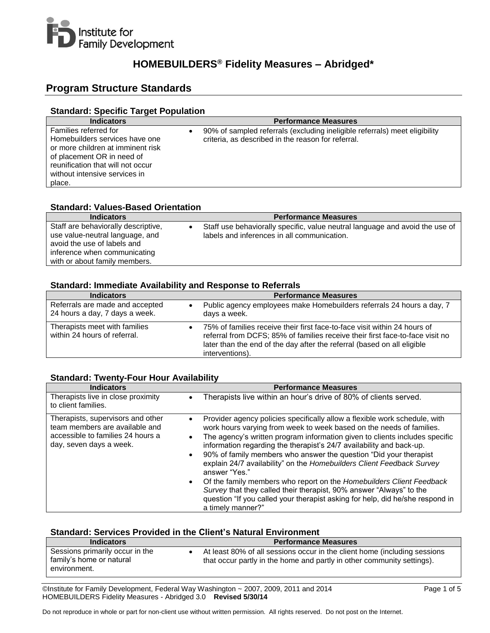

# **HOMEBUILDERS® Fidelity Measures – Abridged\***

# **Program Structure Standards**

## **Standard: Specific Target Population**

| <b>Indicators</b>                                                                                                                                                                                          | <b>Performance Measures</b>                                                                                                      |
|------------------------------------------------------------------------------------------------------------------------------------------------------------------------------------------------------------|----------------------------------------------------------------------------------------------------------------------------------|
| Families referred for<br>Homebuilders services have one<br>or more children at imminent risk<br>of placement OR in need of<br>reunification that will not occur<br>without intensive services in<br>place. | 90% of sampled referrals (excluding ineligible referrals) meet eligibility<br>criteria, as described in the reason for referral. |

## **Standard: Values-Based Orientation**

| <b>Indicators</b>                                                                                     | <b>Performance Measures</b>                                                                                                 |
|-------------------------------------------------------------------------------------------------------|-----------------------------------------------------------------------------------------------------------------------------|
| Staff are behaviorally descriptive,<br>use value-neutral language, and<br>avoid the use of labels and | Staff use behaviorally specific, value neutral language and avoid the use of<br>labels and inferences in all communication. |
| inference when communicating                                                                          |                                                                                                                             |
| with or about family members.                                                                         |                                                                                                                             |

### **Standard: Immediate Availability and Response to Referrals**

| <b>Indicators</b>                                                 | <b>Performance Measures</b>                                                                                                                                                                                                                              |
|-------------------------------------------------------------------|----------------------------------------------------------------------------------------------------------------------------------------------------------------------------------------------------------------------------------------------------------|
| Referrals are made and accepted<br>24 hours a day, 7 days a week. | Public agency employees make Homebuilders referrals 24 hours a day, 7<br>days a week.                                                                                                                                                                    |
| Therapists meet with families<br>within 24 hours of referral.     | 75% of families receive their first face-to-face visit within 24 hours of<br>referral from DCFS; 85% of families receive their first face-to-face visit no<br>later than the end of the day after the referral (based on all eligible<br>interventions). |

#### **Standard: Twenty-Four Hour Availability**

| <b>Indicators</b>                                                                                                                   | <b>Performance Measures</b>                                                                                                                                                                                                                                                                                                                                                                                                                                                                                                                                                                                                                                                                                                    |
|-------------------------------------------------------------------------------------------------------------------------------------|--------------------------------------------------------------------------------------------------------------------------------------------------------------------------------------------------------------------------------------------------------------------------------------------------------------------------------------------------------------------------------------------------------------------------------------------------------------------------------------------------------------------------------------------------------------------------------------------------------------------------------------------------------------------------------------------------------------------------------|
| Therapists live in close proximity<br>to client families.                                                                           | Therapists live within an hour's drive of 80% of clients served.                                                                                                                                                                                                                                                                                                                                                                                                                                                                                                                                                                                                                                                               |
| Therapists, supervisors and other<br>team members are available and<br>accessible to families 24 hours a<br>day, seven days a week. | Provider agency policies specifically allow a flexible work schedule, with<br>work hours varying from week to week based on the needs of families.<br>The agency's written program information given to clients includes specific<br>information regarding the therapist's 24/7 availability and back-up.<br>90% of family members who answer the question "Did your therapist"<br>explain 24/7 availability" on the Homebuilders Client Feedback Survey<br>answer "Yes."<br>Of the family members who report on the Homebuilders Client Feedback<br>Survey that they called their therapist, 90% answer "Always" to the<br>question "If you called your therapist asking for help, did he/she respond in<br>a timely manner?" |

## **Standard: Services Provided in the Client's Natural Environment**

| <b>Indicators</b>                                                           | <b>Performance Measures</b>                                                                                                                         |
|-----------------------------------------------------------------------------|-----------------------------------------------------------------------------------------------------------------------------------------------------|
| Sessions primarily occur in the<br>family's home or natural<br>environment. | At least 80% of all sessions occur in the client home (including sessions<br>that occur partly in the home and partly in other community settings). |

©Institute for Family Development, Federal Way Washington ~ 2007, 2009, 2011 and 2014 Page 1 of 5 HOMEBUILDERS Fidelity Measures - Abridged 3.0 **Revised 5/30/14**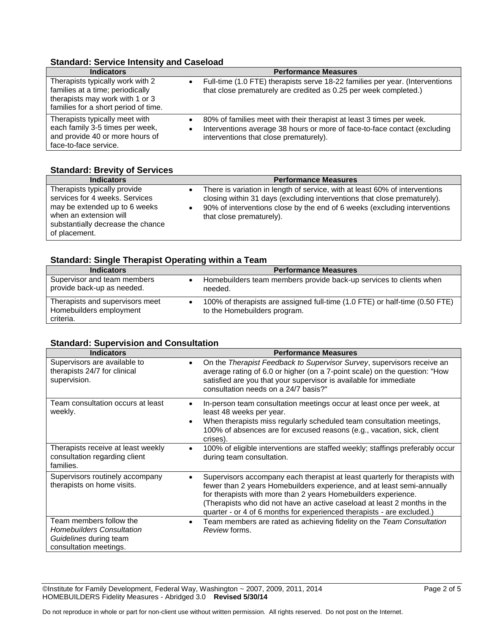## **Standard: Service Intensity and Caseload**

| <b>Indicators</b>                                                                                                                               | <b>Performance Measures</b>                                                                                                                                                                              |
|-------------------------------------------------------------------------------------------------------------------------------------------------|----------------------------------------------------------------------------------------------------------------------------------------------------------------------------------------------------------|
| Therapists typically work with 2<br>families at a time; periodically<br>therapists may work with 1 or 3<br>families for a short period of time. | Full-time (1.0 FTE) therapists serve 18-22 families per year. (Interventions<br>$\bullet$<br>that close prematurely are credited as 0.25 per week completed.)                                            |
| Therapists typically meet with<br>each family 3-5 times per week,<br>and provide 40 or more hours of<br>face-to-face service.                   | 80% of families meet with their therapist at least 3 times per week.<br>Interventions average 38 hours or more of face-to-face contact (excluding<br>$\bullet$<br>interventions that close prematurely). |

### **Standard: Brevity of Services**

| <b>Indicators</b>                                                                                                                                                               | <b>Performance Measures</b>                                                                                                                                                                                                                                      |
|---------------------------------------------------------------------------------------------------------------------------------------------------------------------------------|------------------------------------------------------------------------------------------------------------------------------------------------------------------------------------------------------------------------------------------------------------------|
| Therapists typically provide<br>services for 4 weeks. Services<br>may be extended up to 6 weeks<br>when an extension will<br>substantially decrease the chance<br>of placement. | There is variation in length of service, with at least 60% of interventions<br>closing within 31 days (excluding interventions that close prematurely).<br>90% of interventions close by the end of 6 weeks (excluding interventions<br>that close prematurely). |

# **Standard: Single Therapist Operating within a Team**

| <b>Indicators</b>                                                       | <b>Performance Measures</b>                                                                                 |
|-------------------------------------------------------------------------|-------------------------------------------------------------------------------------------------------------|
| Supervisor and team members<br>provide back-up as needed.               | Homebuilders team members provide back-up services to clients when<br>needed.                               |
| Therapists and supervisors meet<br>Homebuilders employment<br>criteria. | 100% of therapists are assigned full-time (1.0 FTE) or half-time (0.50 FTE)<br>to the Homebuilders program. |

# **Standard: Supervision and Consultation**

| <b>Indicators</b>                                                                                               | <b>Performance Measures</b>                                                                                                                                                                                                                                                                                                                                                   |
|-----------------------------------------------------------------------------------------------------------------|-------------------------------------------------------------------------------------------------------------------------------------------------------------------------------------------------------------------------------------------------------------------------------------------------------------------------------------------------------------------------------|
| Supervisors are available to<br>therapists 24/7 for clinical<br>supervision.                                    | On the Therapist Feedback to Supervisor Survey, supervisors receive an<br>average rating of 6.0 or higher (on a 7-point scale) on the question: "How<br>satisfied are you that your supervisor is available for immediate<br>consultation needs on a 24/7 basis?"                                                                                                             |
| Team consultation occurs at least<br>weekly.                                                                    | In-person team consultation meetings occur at least once per week, at<br>least 48 weeks per year.<br>When therapists miss regularly scheduled team consultation meetings,<br>100% of absences are for excused reasons (e.g., vacation, sick, client<br>crises).                                                                                                               |
| Therapists receive at least weekly<br>consultation regarding client<br>families.                                | 100% of eligible interventions are staffed weekly; staffings preferably occur<br>during team consultation.                                                                                                                                                                                                                                                                    |
| Supervisors routinely accompany<br>therapists on home visits.                                                   | Supervisors accompany each therapist at least quarterly for therapists with<br>fewer than 2 years Homebuilders experience, and at least semi-annually<br>for therapists with more than 2 years Homebuilders experience.<br>(Therapists who did not have an active caseload at least 2 months in the<br>quarter - or 4 of 6 months for experienced therapists - are excluded.) |
| Team members follow the<br><b>Homebuilders Consultation</b><br>Guidelines during team<br>consultation meetings. | Team members are rated as achieving fidelity on the Team Consultation<br>Review forms.                                                                                                                                                                                                                                                                                        |

 $\overline{\textcircled{\text{M}}\text{C}}$  Clnstitute for Family Development, Federal Way, Washington ~ 2007, 2009, 2011, 2014 HOMEBUILDERS Fidelity Measures - Abridged 3.0 **Revised 5/30/14**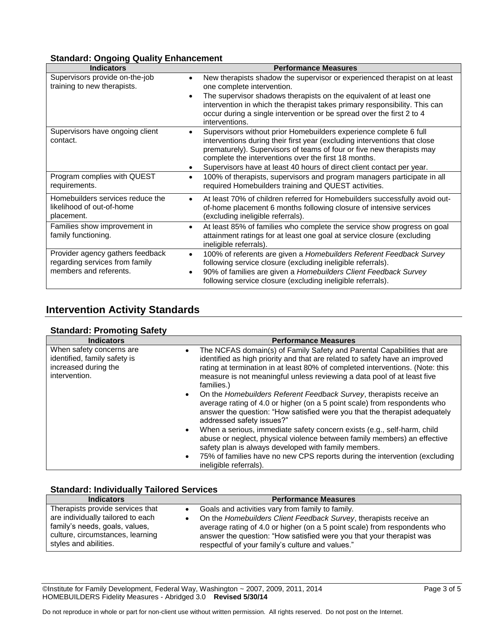# **Standard: Ongoing Quality Enhancement**

| <b>Indicators</b>                                                           | <b>Performance Measures</b>                                                                                                                                                                        |
|-----------------------------------------------------------------------------|----------------------------------------------------------------------------------------------------------------------------------------------------------------------------------------------------|
| Supervisors provide on-the-job<br>training to new therapists.               | New therapists shadow the supervisor or experienced therapist on at least<br>$\bullet$<br>one complete intervention.                                                                               |
|                                                                             | The supervisor shadows therapists on the equivalent of at least one<br>intervention in which the therapist takes primary responsibility. This can                                                  |
|                                                                             | occur during a single intervention or be spread over the first 2 to 4<br>interventions.                                                                                                            |
| Supervisors have ongoing client                                             | Supervisors without prior Homebuilders experience complete 6 full                                                                                                                                  |
| contact.                                                                    | interventions during their first year (excluding interventions that close<br>prematurely). Supervisors of teams of four or five new therapists may                                                 |
|                                                                             | complete the interventions over the first 18 months.                                                                                                                                               |
|                                                                             | Supervisors have at least 40 hours of direct client contact per year.                                                                                                                              |
| Program complies with QUEST<br>requirements.                                | 100% of therapists, supervisors and program managers participate in all<br>$\bullet$<br>required Homebuilders training and QUEST activities.                                                       |
| Homebuilders services reduce the<br>likelihood of out-of-home<br>placement. | At least 70% of children referred for Homebuilders successfully avoid out-<br>$\bullet$<br>of-home placement 6 months following closure of intensive services<br>(excluding ineligible referrals). |
| Families show improvement in<br>family functioning.                         | At least 85% of families who complete the service show progress on goal<br>attainment ratings for at least one goal at service closure (excluding<br>ineligible referrals).                        |
| Provider agency gathers feedback<br>regarding services from family          | 100% of referents are given a Homebuilders Referent Feedback Survey<br>$\bullet$<br>following service closure (excluding ineligible referrals).                                                    |
| members and referents.                                                      | 90% of families are given a Homebuilders Client Feedback Survey<br>following service closure (excluding ineligible referrals).                                                                     |

# **Intervention Activity Standards**

# **Standard: Promoting Safety**

| <b>Indicators</b>                                                                                 | <b>Performance Measures</b>                                                                                                                                                                                                                                                                                                                                                                                                                                                                                                                                                                                                                                                                                                                                                                                                                        |
|---------------------------------------------------------------------------------------------------|----------------------------------------------------------------------------------------------------------------------------------------------------------------------------------------------------------------------------------------------------------------------------------------------------------------------------------------------------------------------------------------------------------------------------------------------------------------------------------------------------------------------------------------------------------------------------------------------------------------------------------------------------------------------------------------------------------------------------------------------------------------------------------------------------------------------------------------------------|
| When safety concerns are<br>identified, family safety is<br>increased during the<br>intervention. | The NCFAS domain(s) of Family Safety and Parental Capabilities that are<br>$\bullet$<br>identified as high priority and that are related to safety have an improved<br>rating at termination in at least 80% of completed interventions. (Note: this<br>measure is not meaningful unless reviewing a data pool of at least five<br>families.)<br>• On the <i>Homebuilders Referent Feedback Survey</i> , therapists receive an<br>average rating of 4.0 or higher (on a 5 point scale) from respondents who<br>answer the question: "How satisfied were you that the therapist adequately<br>addressed safety issues?"<br>When a serious, immediate safety concern exists (e.g., self-harm, child<br>$\bullet$<br>abuse or neglect, physical violence between family members) an effective<br>safety plan is always developed with family members. |
|                                                                                                   | 75% of families have no new CPS reports during the intervention (excluding<br>$\bullet$<br>ineligible referrals).                                                                                                                                                                                                                                                                                                                                                                                                                                                                                                                                                                                                                                                                                                                                  |

# **Standard: Individually Tailored Services**

| <b>Indicators</b>                                                                                                                | <b>Performance Measures</b>                                                                                                                                                                                                                                                |
|----------------------------------------------------------------------------------------------------------------------------------|----------------------------------------------------------------------------------------------------------------------------------------------------------------------------------------------------------------------------------------------------------------------------|
| Therapists provide services that                                                                                                 | Goals and activities vary from family to family.                                                                                                                                                                                                                           |
| are individually tailored to each<br>family's needs, goals, values,<br>culture, circumstances, learning<br>styles and abilities. | On the Homebuilders Client Feedback Survey, therapists receive an<br>average rating of 4.0 or higher (on a 5 point scale) from respondents who<br>answer the question: "How satisfied were you that your therapist was<br>respectful of your family's culture and values." |

 $\overline{\textcircled{\text{M}}\text{C}}$  Clnstitute for Family Development, Federal Way, Washington ~ 2007, 2009, 2011, 2014 HOMEBUILDERS Fidelity Measures - Abridged 3.0 **Revised 5/30/14**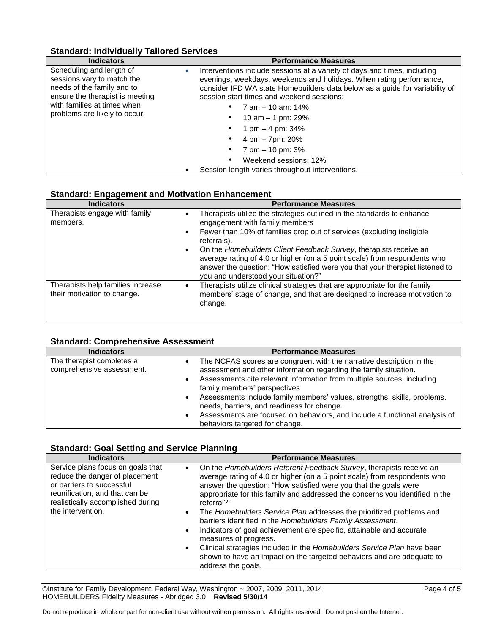# **Standard: Individually Tailored Services**

| <b>Indicators</b>                                                                                                                                                                                    | <b>Performance Measures</b>                                                                                                                                                                                                                                                                                                                                                                                                                                           |
|------------------------------------------------------------------------------------------------------------------------------------------------------------------------------------------------------|-----------------------------------------------------------------------------------------------------------------------------------------------------------------------------------------------------------------------------------------------------------------------------------------------------------------------------------------------------------------------------------------------------------------------------------------------------------------------|
| Scheduling and length of<br>$\bullet$<br>sessions vary to match the<br>needs of the family and to<br>ensure the therapist is meeting<br>with families at times when<br>problems are likely to occur. | Interventions include sessions at a variety of days and times, including<br>evenings, weekdays, weekends and holidays. When rating performance,<br>consider IFD WA state Homebuilders data below as a guide for variability of<br>session start times and weekend sessions:<br>7 am - 10 am: 14%<br>10 am $-$ 1 pm: 29%<br>1 pm $-$ 4 pm: 34%<br>4 pm - 7pm: 20%<br>7 pm – 10 pm: 3%<br>Weekend sessions: 12%<br>٠<br>Session length varies throughout interventions. |

#### **Standard: Engagement and Motivation Enhancement**

| <b>Indicators</b>                                                | <b>Performance Measures</b>                                                                                                                                                                                                                                                                                                                                                                                                                                       |
|------------------------------------------------------------------|-------------------------------------------------------------------------------------------------------------------------------------------------------------------------------------------------------------------------------------------------------------------------------------------------------------------------------------------------------------------------------------------------------------------------------------------------------------------|
| Therapists engage with family<br>members.                        | Therapists utilize the strategies outlined in the standards to enhance<br>٠<br>engagement with family members<br>Fewer than 10% of families drop out of services (excluding ineligible<br>$\bullet$<br>referrals).<br>On the Homebuilders Client Feedback Survey, therapists receive an<br>$\bullet$<br>average rating of 4.0 or higher (on a 5 point scale) from respondents who<br>answer the question: "How satisfied were you that your therapist listened to |
|                                                                  | you and understood your situation?"                                                                                                                                                                                                                                                                                                                                                                                                                               |
| Therapists help families increase<br>their motivation to change. | Therapists utilize clinical strategies that are appropriate for the family<br>members' stage of change, and that are designed to increase motivation to<br>change.                                                                                                                                                                                                                                                                                                |

## **Standard: Comprehensive Assessment**

| <b>Indicators</b>                                      | <b>Performance Measures</b>                                                                                                                                                                                                                                                                                                                                                                                                                                                                  |
|--------------------------------------------------------|----------------------------------------------------------------------------------------------------------------------------------------------------------------------------------------------------------------------------------------------------------------------------------------------------------------------------------------------------------------------------------------------------------------------------------------------------------------------------------------------|
| The therapist completes a<br>comprehensive assessment. | The NCFAS scores are congruent with the narrative description in the<br>assessment and other information regarding the family situation.<br>Assessments cite relevant information from multiple sources, including<br>family members' perspectives<br>Assessments include family members' values, strengths, skills, problems,<br>needs, barriers, and readiness for change.<br>Assessments are focused on behaviors, and include a functional analysis of<br>behaviors targeted for change. |

# **Standard: Goal Setting and Service Planning**

| <b>Indicators</b>                                                                                                                                                                            | <b>Performance Measures</b>                                                                                                                                                                                                                                                                                                                                                                                                                                                                                                                                                                                                                                                                                                                                                             |
|----------------------------------------------------------------------------------------------------------------------------------------------------------------------------------------------|-----------------------------------------------------------------------------------------------------------------------------------------------------------------------------------------------------------------------------------------------------------------------------------------------------------------------------------------------------------------------------------------------------------------------------------------------------------------------------------------------------------------------------------------------------------------------------------------------------------------------------------------------------------------------------------------------------------------------------------------------------------------------------------------|
| Service plans focus on goals that<br>reduce the danger of placement<br>or barriers to successful<br>reunification, and that can be<br>realistically accomplished during<br>the intervention. | On the Homebuilders Referent Feedback Survey, therapists receive an<br>$\bullet$<br>average rating of 4.0 or higher (on a 5 point scale) from respondents who<br>answer the question: "How satisfied were you that the goals were<br>appropriate for this family and addressed the concerns you identified in the<br>referral?"<br>The Homebuilders Service Plan addresses the prioritized problems and<br>$\bullet$<br>barriers identified in the Homebuilders Family Assessment.<br>Indicators of goal achievement are specific, attainable and accurate<br>$\bullet$<br>measures of progress.<br>Clinical strategies included in the Homebuilders Service Plan have been<br>$\bullet$<br>shown to have an impact on the targeted behaviors and are adequate to<br>address the goals. |

©Institute for Family Development, Federal Way, Washington ~ 2007, 2009, 2011, 2014 Page 4 of 5 HOMEBUILDERS Fidelity Measures - Abridged 3.0 **Revised 5/30/14**

Do not reproduce in whole or part for non-client use without written permission. All rights reserved. Do not post on the Internet.